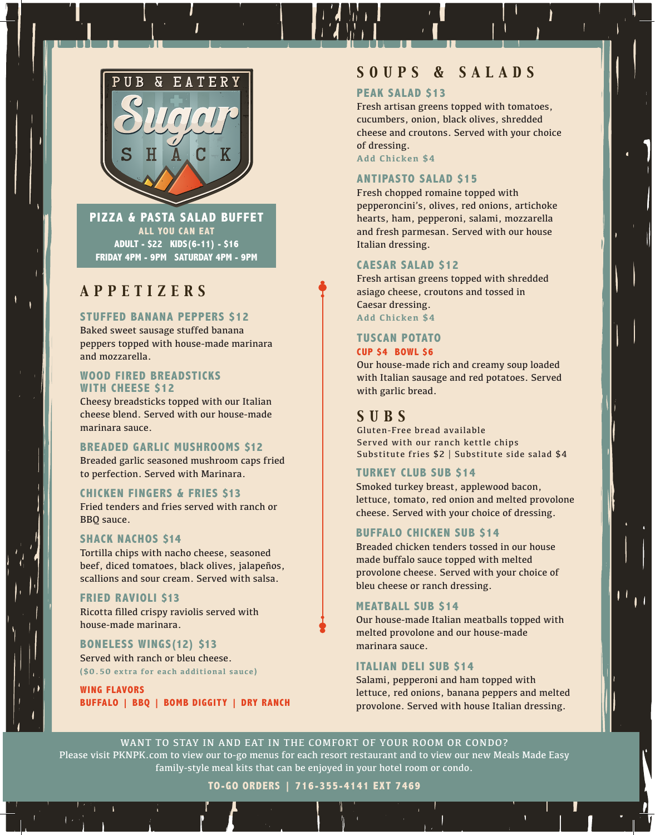

**PIZZA & PASTA SALAD BUFFET ALL YOU CAN EAT ADULT - \$22 KIDS(6-11) - \$16 FRIDAY 4PM - 9PM SATURDAY 4PM - 9PM**

## *APPETIZERS*

#### **STUFFED BANANA PEPPERS \$12**

Baked sweet sausage stuffed banana peppers topped with house-made marinara and mozzarella.

#### **WOOD FIRED BREADSTICKS WITH CHEESE \$12**

Cheesy breadsticks topped with our Italian cheese blend. Served with our house-made marinara sauce.

#### **BREADED GARLIC MUSHROOMS \$12**

Breaded garlic seasoned mushroom caps fried to perfection. Served with Marinara.

#### **CHICKEN FINGERS & FRIES \$13**

Fried tenders and fries served with ranch or BBQ sauce.

#### **SHACK NACHOS \$14**

Tortilla chips with nacho cheese, seasoned beef, diced tomatoes, black olives, jalapeños, scallions and sour cream. Served with salsa.

## **FRIED RAVIOLI \$13**

Ricotta filled crispy raviolis served with house-made marinara.

## **BONELESS WINGS(12) \$13**

Served with ranch or bleu cheese. **(\$0.50 extra for each additional sauce)**

**WING FLAVORS BUFFALO | BBQ | BOMB DIGGITY | DRY RANCH**

## *SOUPS & SALADS*

## **PEAK SALAD \$13**

Fresh artisan greens topped with tomatoes, cucumbers, onion, black olives, shredded cheese and croutons. Served with your choice of dressing.

**Add Chicken \$4**

### **ANTIPASTO SALAD \$15**

Fresh chopped romaine topped with pepperoncini's, olives, red onions, artichoke hearts, ham, pepperoni, salami, mozzarella and fresh parmesan. Served with our house Italian dressing.

#### **CAESAR SALAD \$12**

Fresh artisan greens topped with shredded asiago cheese, croutons and tossed in Caesar dressing. **Add Chicken \$4** 

## **TUSCAN POTATO**

#### **CUP \$4 BOWL \$6**

Our house-made rich and creamy soup loaded with Italian sausage and red potatoes. Served with garlic bread.

## *SUBS*

Gluten-Free bread available Served with our ranch kettle chips Substitute fries \$2 | Substitute side salad \$4

#### **TURKEY CLUB SUB \$14**

Smoked turkey breast, applewood bacon, lettuce, tomato, red onion and melted provolone cheese. Served with your choice of dressing.

#### **BUFFALO CHICKEN SUB \$14**

Breaded chicken tenders tossed in our house made buffalo sauce topped with melted provolone cheese. Served with your choice of bleu cheese or ranch dressing.

#### **MEATBALL SUB \$14**

Our house-made Italian meatballs topped with melted provolone and our house-made marinara sauce.

#### **ITALIAN DELI SUB \$14**

Salami, pepperoni and ham topped with lettuce, red onions, banana peppers and melted provolone. Served with house Italian dressing.

WANT TO STAY IN AND EAT IN THE COMFORT OF YOUR ROOM OR CONDO? Please visit PKNPK.com to view our to-go menus for each resort restaurant and to view our new Meals Made Easy family-style meal kits that can be enjoyed in your hotel room or condo.

**TO-GO ORDERS | 716-355-4141 EXT 7469**